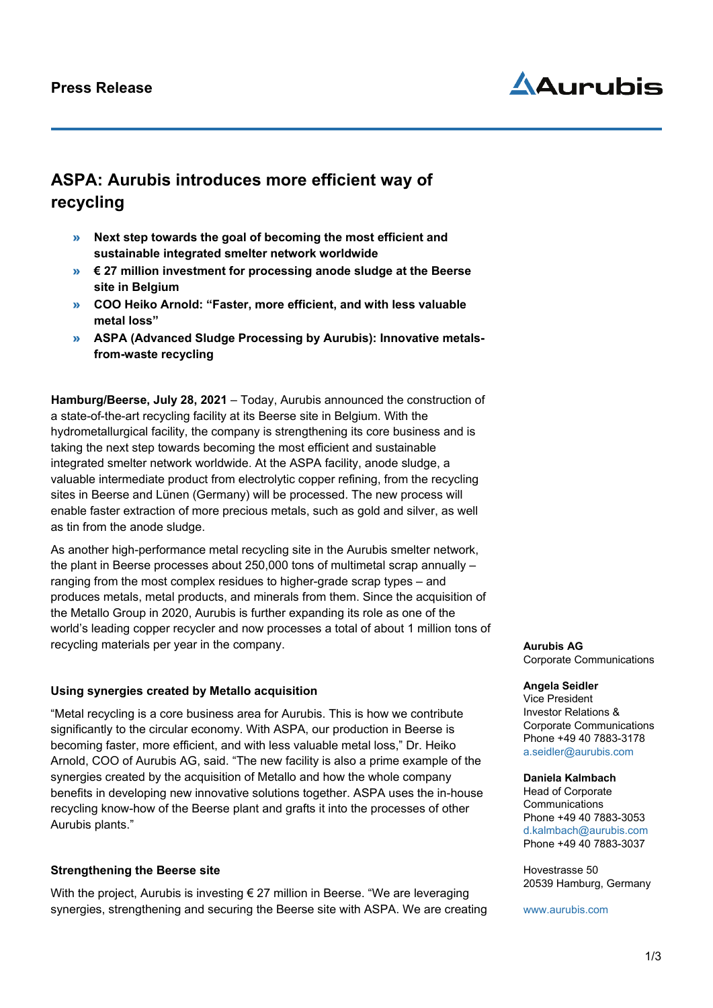# Aduruhis

# **ASPA: Aurubis introduces more efficient way of recycling**

- » **Next step towards the goal of becoming the most efficient and sustainable integrated smelter network worldwide**
- » **€ 27 million investment for processing anode sludge at the Beerse site in Belgium**
- » **COO Heiko Arnold: "Faster, more efficient, and with less valuable metal loss"**
- » **ASPA (Advanced Sludge Processing by Aurubis): Innovative metalsfrom-waste recycling**

**Hamburg/Beerse, July 28, 2021** – Today, Aurubis announced the construction of a state-of-the-art recycling facility at its Beerse site in Belgium. With the hydrometallurgical facility, the company is strengthening its core business and is taking the next step towards becoming the most efficient and sustainable integrated smelter network worldwide. At the ASPA facility, anode sludge, a valuable intermediate product from electrolytic copper refining, from the recycling sites in Beerse and Lünen (Germany) will be processed. The new process will enable faster extraction of more precious metals, such as gold and silver, as well as tin from the anode sludge.

As another high-performance metal recycling site in the Aurubis smelter network, the plant in Beerse processes about 250,000 tons of multimetal scrap annually – ranging from the most complex residues to higher-grade scrap types – and produces metals, metal products, and minerals from them. Since the acquisition of the Metallo Group in 2020, Aurubis is further expanding its role as one of the world's leading copper recycler and now processes a total of about 1 million tons of recycling materials per year in the company.

# **Using synergies created by Metallo acquisition**

"Metal recycling is a core business area for Aurubis. This is how we contribute significantly to the circular economy. With ASPA, our production in Beerse is becoming faster, more efficient, and with less valuable metal loss," Dr. Heiko Arnold, COO of Aurubis AG, said. "The new facility is also a prime example of the synergies created by the acquisition of Metallo and how the whole company benefits in developing new innovative solutions together. ASPA uses the in-house recycling know-how of the Beerse plant and grafts it into the processes of other Aurubis plants."

### **Strengthening the Beerse site**

With the project, Aurubis is investing  $\epsilon$  27 million in Beerse. "We are leveraging synergies, strengthening and securing the Beerse site with ASPA. We are creating **Aurubis AG** Corporate Communications

#### **Angela Seidler**

Vice President Investor Relations & Corporate Communications Phone +49 40 7883-3178 [a.seidler@aurubis.com](mailto:a.seidler@aurubis.com)

#### **Daniela Kalmbach**

Head of Corporate **Communications** Phone +49 40 7883-3053 d.kalmbach@aurubis.com Phone +49 40 7883-3037

Hovestrasse 50 20539 Hamburg, Germany

[www.aurubis.com](http://www.aurubis.com/)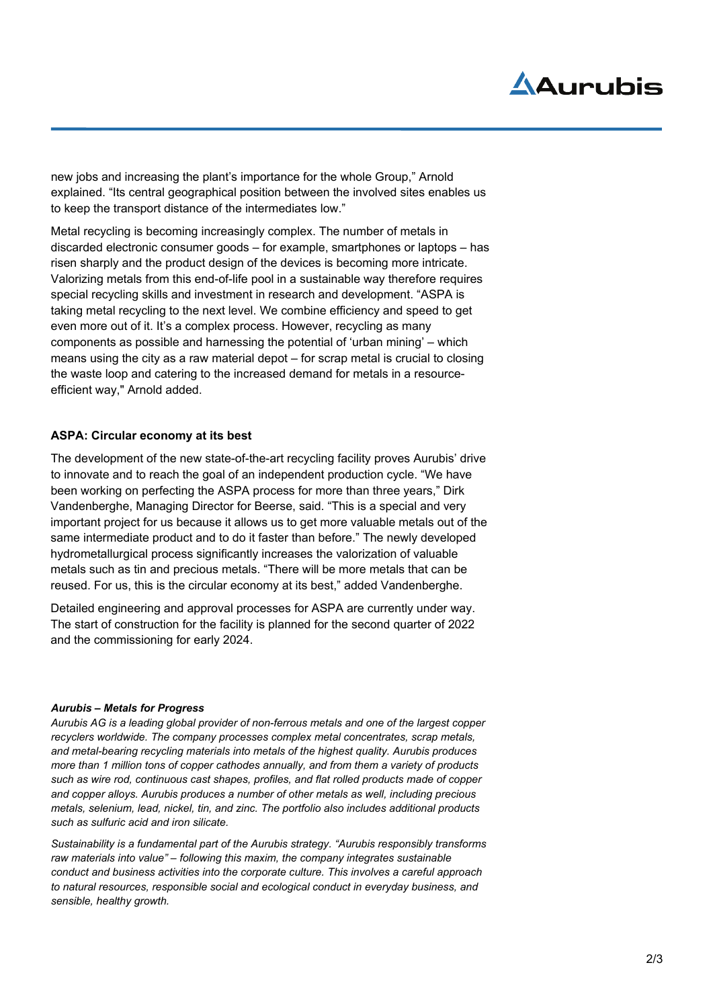# Aduruhis

new jobs and increasing the plant's importance for the whole Group," Arnold explained. "Its central geographical position between the involved sites enables us to keep the transport distance of the intermediates low."

Metal recycling is becoming increasingly complex. The number of metals in discarded electronic consumer goods – for example, smartphones or laptops – has risen sharply and the product design of the devices is becoming more intricate. Valorizing metals from this end-of-life pool in a sustainable way therefore requires special recycling skills and investment in research and development. "ASPA is taking metal recycling to the next level. We combine efficiency and speed to get even more out of it. It's a complex process. However, recycling as many components as possible and harnessing the potential of 'urban mining' – which means using the city as a raw material depot – for scrap metal is crucial to closing the waste loop and catering to the increased demand for metals in a resourceefficient way," Arnold added.

# **ASPA: Circular economy at its best**

The development of the new state-of-the-art recycling facility proves Aurubis' drive to innovate and to reach the goal of an independent production cycle. "We have been working on perfecting the ASPA process for more than three years," Dirk Vandenberghe, Managing Director for Beerse, said. "This is a special and very important project for us because it allows us to get more valuable metals out of the same intermediate product and to do it faster than before." The newly developed hydrometallurgical process significantly increases the valorization of valuable metals such as tin and precious metals. "There will be more metals that can be reused. For us, this is the circular economy at its best," added Vandenberghe.

Detailed engineering and approval processes for ASPA are currently under way. The start of construction for the facility is planned for the second quarter of 2022 and the commissioning for early 2024.

### *Aurubis – Metals for Progress*

*Aurubis AG is a leading global provider of non-ferrous metals and one of the largest copper recyclers worldwide. The company processes complex metal concentrates, scrap metals, and metal-bearing recycling materials into metals of the highest quality. Aurubis produces more than 1 million tons of copper cathodes annually, and from them a variety of products such as wire rod, continuous cast shapes, profiles, and flat rolled products made of copper and copper alloys. Aurubis produces a number of other metals as well, including precious metals, selenium, lead, nickel, tin, and zinc. The portfolio also includes additional products such as sulfuric acid and iron silicate.*

*Sustainability is a fundamental part of the Aurubis strategy. "Aurubis responsibly transforms raw materials into value" – following this maxim, the company integrates sustainable conduct and business activities into the corporate culture. This involves a careful approach to natural resources, responsible social and ecological conduct in everyday business, and sensible, healthy growth.*